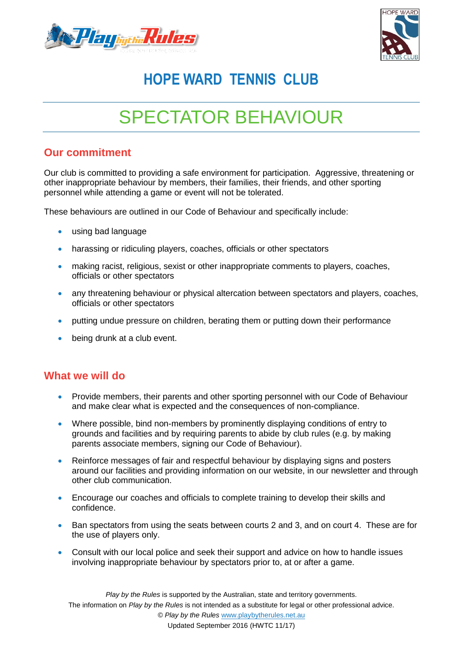



### **HOPE WARD TENNIS CLUB**

# SPECTATOR BEHAVIOUR

### **Our commitment**

Our club is committed to providing a safe environment for participation. Aggressive, threatening or other inappropriate behaviour by members, their families, their friends, and other sporting personnel while attending a game or event will not be tolerated.

These behaviours are outlined in our Code of Behaviour and specifically include:

- using bad language
- harassing or ridiculing players, coaches, officials or other spectators
- making racist, religious, sexist or other inappropriate comments to players, coaches, officials or other spectators
- any threatening behaviour or physical altercation between spectators and players, coaches, officials or other spectators
- putting undue pressure on children, berating them or putting down their performance
- being drunk at a club event.

#### **What we will do**

- Provide members, their parents and other sporting personnel with our Code of Behaviour and make clear what is expected and the consequences of non-compliance.
- Where possible, bind non-members by prominently displaying conditions of entry to grounds and facilities and by requiring parents to abide by club rules (e.g. by making parents associate members, signing our Code of Behaviour).
- Reinforce messages of fair and respectful behaviour by displaying signs and posters around our facilities and providing information on our website, in our newsletter and through other club communication.
- Encourage our coaches and officials to complete training to develop their skills and confidence.
- Ban spectators from using the seats between courts 2 and 3, and on court 4. These are for the use of players only.
- Consult with our local police and seek their support and advice on how to handle issues involving inappropriate behaviour by spectators prior to, at or after a game.